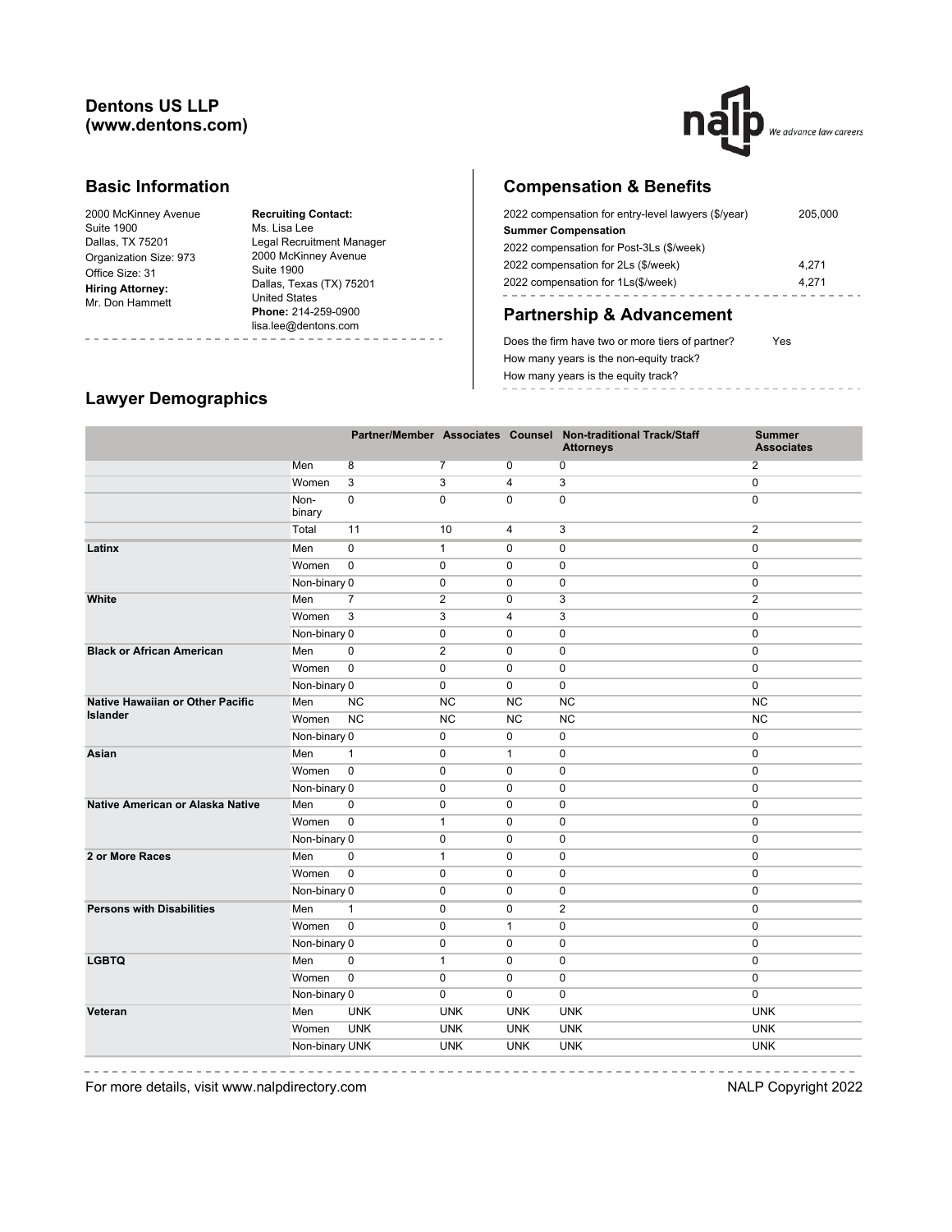#### **Dentons US LLP (www.dentons.com)**



#### **Basic Information**

| 2000 McKinney Avenue    |
|-------------------------|
| Suite 1900              |
| Dallas, TX 75201        |
| Organization Size: 973  |
| Office Size: 31         |
| <b>Hiring Attorney:</b> |
| Mr. Don Hammett         |
|                         |

**Recruiting Contact:** Ms. Lisa Lee Legal Recruitment Manager 2000 McKinney Avenue Suite 1900 Dallas, Texas (TX) 75201 United States **Phone:** 214-259-0900 lisa.lee@dentons.com ----------

# **Compensation & Benefits**

| 2022 compensation for entry-level lawyers (\$/year) | 205,000 |
|-----------------------------------------------------|---------|
| <b>Summer Compensation</b>                          |         |
| 2022 compensation for Post-3Ls (\$/week)            |         |
| 2022 compensation for 2Ls (\$/week)                 | 4.271   |
| 2022 compensation for 1Ls(\$/week)                  | 4.271   |
|                                                     |         |

## **Partnership & Advancement**

Does the firm have two or more tiers of partner? Yes How many years is the non-equity track? How many years is the equity track? ----------------

#### **Lawyer Demographics**

 $\label{eq:reduced} \begin{split} \mathcal{L}_{\text{c}}(\mathbf{r}) &= \mathcal{L}_{\text{c}}(\mathbf{r}) = \mathcal{L}_{\text{c}}(\mathbf{r}) = \mathcal{L}_{\text{c}}(\mathbf{r}) \end{split}$ 

|                                  |                |                |                |                | Partner/Member Associates Counsel Non-traditional Track/Staff<br><b>Attorneys</b> | <b>Summer</b><br><b>Associates</b> |
|----------------------------------|----------------|----------------|----------------|----------------|-----------------------------------------------------------------------------------|------------------------------------|
|                                  | Men            | 8              | $\overline{7}$ | $\overline{0}$ | 0                                                                                 | 2                                  |
|                                  | Women          | 3              | 3              | $\overline{4}$ | 3                                                                                 | $\mathbf 0$                        |
|                                  | Non-<br>binary | $\mathbf 0$    | $\mathbf 0$    | $\mathbf 0$    | $\mathbf 0$                                                                       | $\mathbf 0$                        |
|                                  | Total          | 11             | 10             | $\overline{4}$ | 3                                                                                 | $\overline{2}$                     |
| Latinx                           | Men            | $\mathbf 0$    | $\mathbf{1}$   | $\mathbf 0$    | $\mathbf 0$                                                                       | $\mathbf 0$                        |
|                                  | Women          | $\mathbf 0$    | $\mathbf 0$    | $\mathbf 0$    | $\mathbf 0$                                                                       | $\mathbf 0$                        |
|                                  | Non-binary 0   |                | $\mathbf 0$    | $\mathbf 0$    | $\mathbf 0$                                                                       | $\mathbf 0$                        |
| White                            | Men            | $\overline{7}$ | $\overline{2}$ | $\mathbf 0$    | 3                                                                                 | $\overline{2}$                     |
|                                  | Women          | 3              | 3              | 4              | 3                                                                                 | $\mathbf 0$                        |
|                                  | Non-binary 0   |                | $\mathbf 0$    | 0              | $\mathbf 0$                                                                       | $\mathbf 0$                        |
| <b>Black or African American</b> | Men            | $\mathbf 0$    | $\overline{2}$ | 0              | $\mathbf 0$                                                                       | $\mathbf 0$                        |
|                                  | Women          | $\pmb{0}$      | $\mathbf 0$    | $\mathbf 0$    | $\mathbf 0$                                                                       | $\mathbf 0$                        |
|                                  | Non-binary 0   |                | 0              | $\mathbf 0$    | $\mathbf 0$                                                                       | $\pmb{0}$                          |
| Native Hawaiian or Other Pacific | Men            | <b>NC</b>      | <b>NC</b>      | <b>NC</b>      | <b>NC</b>                                                                         | <b>NC</b>                          |
| <b>Islander</b>                  | Women          | <b>NC</b>      | <b>NC</b>      | <b>NC</b>      | <b>NC</b>                                                                         | <b>NC</b>                          |
|                                  | Non-binary 0   |                | 0              | 0              | 0                                                                                 | 0                                  |
| Asian                            | Men            | $\mathbf{1}$   | $\mathbf 0$    | $\mathbf{1}$   | $\mathbf 0$                                                                       | 0                                  |
|                                  | Women          | $\pmb{0}$      | $\mathbf 0$    | $\mathbf 0$    | $\mathbf 0$                                                                       | 0                                  |
|                                  | Non-binary 0   |                | $\mathbf 0$    | $\mathbf 0$    | $\mathbf 0$                                                                       | $\mathbf 0$                        |
| Native American or Alaska Native | Men            | $\mathbf 0$    | $\mathbf 0$    | $\mathbf 0$    | $\mathbf 0$                                                                       | $\mathbf 0$                        |
|                                  | Women          | $\pmb{0}$      | $\mathbf{1}$   | $\mathbf 0$    | $\mathbf 0$                                                                       | $\mathbf 0$                        |
|                                  | Non-binary 0   |                | $\mathbf 0$    | $\mathbf 0$    | $\mathbf 0$                                                                       | $\mathbf 0$                        |
| 2 or More Races                  | Men            | $\mathbf 0$    | $\mathbf{1}$   | $\mathbf 0$    | $\mathbf 0$                                                                       | $\mathbf 0$                        |
|                                  | Women          | $\mathsf 0$    | $\mathbf 0$    | $\mathbf 0$    | $\mathbf 0$                                                                       | $\mathbf 0$                        |
|                                  | Non-binary 0   |                | $\mathbf 0$    | 0              | 0                                                                                 | $\pmb{0}$                          |
| <b>Persons with Disabilities</b> | Men            | $\mathbf{1}$   | $\mathbf 0$    | $\mathbf 0$    | $\overline{2}$                                                                    | $\mathbf 0$                        |
|                                  | Women          | $\mathbf 0$    | $\mathbf 0$    | $\mathbf{1}$   | $\mathbf 0$                                                                       | $\mathbf 0$                        |
|                                  | Non-binary 0   |                | $\mathbf 0$    | $\mathbf 0$    | $\mathbf 0$                                                                       | $\mathbf 0$                        |
| <b>LGBTQ</b>                     | Men            | $\mathbf 0$    | $\mathbf{1}$   | $\mathbf 0$    | $\mathbf 0$                                                                       | $\mathbf 0$                        |
|                                  | Women          | $\mathbf 0$    | $\mathbf 0$    | $\mathbf 0$    | $\mathbf 0$                                                                       | $\mathbf 0$                        |
|                                  | Non-binary 0   |                | $\mathbf 0$    | $\mathbf 0$    | $\mathbf 0$                                                                       | $\pmb{0}$                          |
| Veteran                          | Men            | <b>UNK</b>     | <b>UNK</b>     | <b>UNK</b>     | <b>UNK</b>                                                                        | <b>UNK</b>                         |
|                                  | Women          | <b>UNK</b>     | <b>UNK</b>     | <b>UNK</b>     | <b>UNK</b>                                                                        | <b>UNK</b>                         |
|                                  | Non-binary UNK |                | <b>UNK</b>     | <b>UNK</b>     | <b>UNK</b>                                                                        | <b>UNK</b>                         |
|                                  |                |                |                |                |                                                                                   |                                    |

For more details, visit www.nalpdirectory.com **NALP** Copyright 2022

 $- - - - - - - - - - -$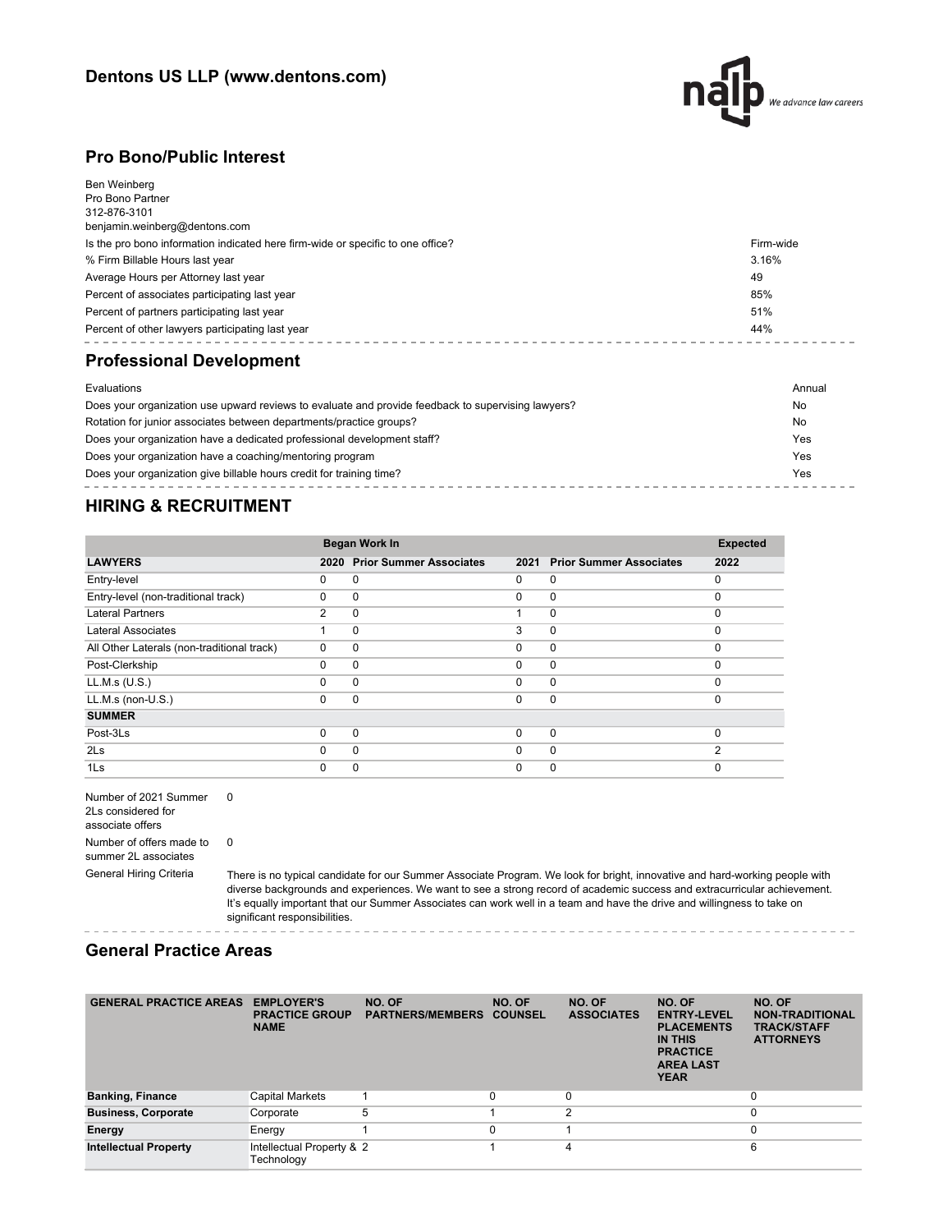

#### **Pro Bono/Public Interest**

| Ben Weinberg<br>Pro Bono Partner<br>312-876-3101<br>benjamin.weinberg@dentons.com |           |
|-----------------------------------------------------------------------------------|-----------|
| Is the pro bono information indicated here firm-wide or specific to one office?   | Firm-wide |
| % Firm Billable Hours last year                                                   | 3.16%     |
| Average Hours per Attorney last year                                              | 49        |
| Percent of associates participating last year                                     | 85%       |
| Percent of partners participating last year                                       | 51%       |
| Percent of other lawyers participating last year                                  | 44%       |
| <b>Professional Development</b>                                                   |           |
| Evaluations                                                                       | Annual    |

| Does your organization use upward reviews to evaluate and provide feedback to supervising lawyers? | No  |
|----------------------------------------------------------------------------------------------------|-----|
| Rotation for junior associates between departments/practice groups?                                | No  |
| Does your organization have a dedicated professional development staff?                            | Yes |
| Does your organization have a coaching/mentoring program                                           | Yes |
| Does your organization give billable hours credit for training time?                               | Yes |

### **HIRING & RECRUITMENT**

|                                            | Began Work In  |                                |          |                                | <b>Expected</b> |
|--------------------------------------------|----------------|--------------------------------|----------|--------------------------------|-----------------|
| <b>LAWYERS</b>                             | 2020           | <b>Prior Summer Associates</b> | 2021     | <b>Prior Summer Associates</b> | 2022            |
| Entry-level                                | 0              | $\Omega$                       | 0        | 0                              | $\Omega$        |
| Entry-level (non-traditional track)        | $\Omega$       | 0                              | $\Omega$ | $\mathbf 0$                    | $\Omega$        |
| <b>Lateral Partners</b>                    | $\overline{2}$ | $\Omega$                       | 1        | $\mathbf 0$                    | $\Omega$        |
| Lateral Associates                         |                | $\Omega$                       | 3        | $\mathbf 0$                    | $\Omega$        |
| All Other Laterals (non-traditional track) | $\Omega$       | 0                              | $\Omega$ | $\mathbf 0$                    | $\Omega$        |
| Post-Clerkship                             | $\Omega$       | $\Omega$                       | $\Omega$ | $\mathbf 0$                    | $\Omega$        |
| LL.M.s (U.S.)                              | 0              | $\Omega$                       | $\Omega$ | $\mathbf 0$                    | $\Omega$        |
| $LL.M.s$ (non- $U.S.$ )                    | $\Omega$       | $\Omega$                       | 0        | $\mathbf 0$                    | $\Omega$        |
| <b>SUMMER</b>                              |                |                                |          |                                |                 |
| Post-3Ls                                   | $\Omega$       | $\Omega$                       | $\Omega$ | $\mathbf 0$                    | $\Omega$        |
| 2 <sub>ls</sub>                            | $\Omega$       | $\Omega$                       | $\Omega$ | $\mathbf 0$                    | 2               |
| 1Ls                                        | 0              | 0                              | 0        | 0                              | $\Omega$        |

Number of 2021 Summer 0 2Ls considered for associate offers Number of offers made to summer 2L associates 0

General Hiring Criteria There is no typical candidate for our Summer Associate Program. We look for bright, innovative and hard-working people with diverse backgrounds and experiences. We want to see a strong record of academic success and extracurricular achievement. It's equally important that our Summer Associates can work well in a team and have the drive and willingness to take on significant responsibilities.

#### **General Practice Areas**

| <b>GENERAL PRACTICE AREAS</b> | <b>EMPLOYER'S</b><br><b>PRACTICE GROUP</b><br><b>NAME</b> | NO. OF<br><b>PARTNERS/MEMBERS</b> | NO. OF<br><b>COUNSEL</b> | NO. OF<br><b>ASSOCIATES</b> | NO. OF<br><b>ENTRY-LEVEL</b><br><b>PLACEMENTS</b><br>IN THIS<br><b>PRACTICE</b><br><b>AREA LAST</b><br><b>YEAR</b> | NO. OF<br><b>NON-TRADITIONAL</b><br><b>TRACK/STAFF</b><br><b>ATTORNEYS</b> |
|-------------------------------|-----------------------------------------------------------|-----------------------------------|--------------------------|-----------------------------|--------------------------------------------------------------------------------------------------------------------|----------------------------------------------------------------------------|
| <b>Banking, Finance</b>       | <b>Capital Markets</b>                                    |                                   |                          | 0                           |                                                                                                                    | $\Omega$                                                                   |
| <b>Business, Corporate</b>    | Corporate                                                 | 5                                 |                          | $\overline{2}$              |                                                                                                                    | 0                                                                          |
| Energy                        | Energy                                                    |                                   | 0                        |                             |                                                                                                                    | 0                                                                          |
| <b>Intellectual Property</b>  | Intellectual Property & 2<br>Technology                   |                                   |                          | 4                           |                                                                                                                    | 6                                                                          |